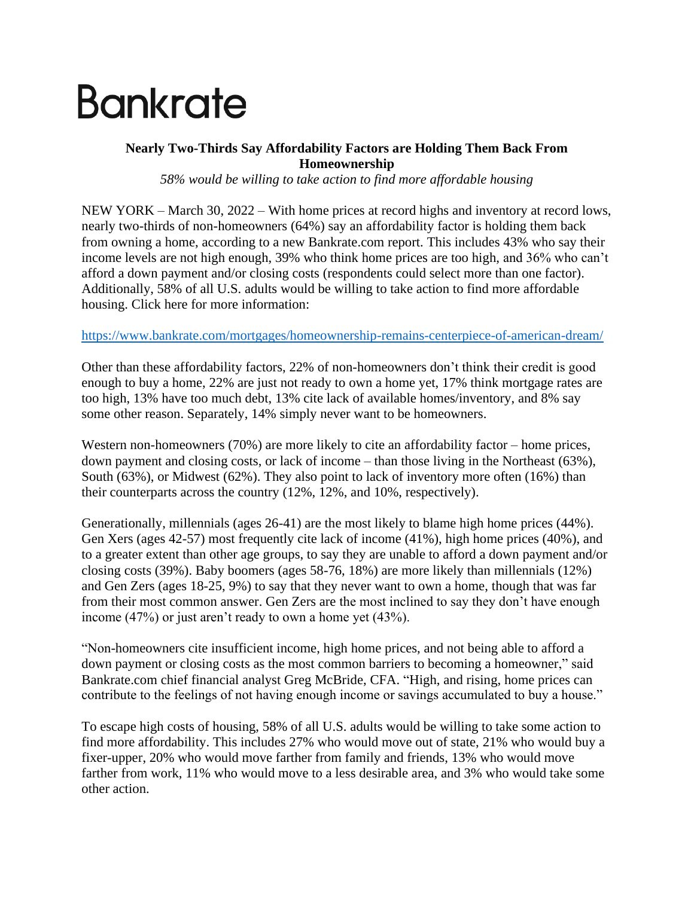# **Bankrate**

## **Nearly Two-Thirds Say Affordability Factors are Holding Them Back From Homeownership**

*58% would be willing to take action to find more affordable housing*

NEW YORK – March 30, 2022 – With home prices at record highs and inventory at record lows, nearly two-thirds of non-homeowners (64%) say an affordability factor is holding them back from owning a home, according to a new Bankrate.com report. This includes 43% who say their income levels are not high enough, 39% who think home prices are too high, and 36% who can't afford a down payment and/or closing costs (respondents could select more than one factor). Additionally, 58% of all U.S. adults would be willing to take action to find more affordable housing. Click here for more information:

### <https://www.bankrate.com/mortgages/homeownership-remains-centerpiece-of-american-dream/>

Other than these affordability factors, 22% of non-homeowners don't think their credit is good enough to buy a home, 22% are just not ready to own a home yet, 17% think mortgage rates are too high, 13% have too much debt, 13% cite lack of available homes/inventory, and 8% say some other reason. Separately, 14% simply never want to be homeowners.

Western non-homeowners (70%) are more likely to cite an affordability factor – home prices, down payment and closing costs, or lack of income – than those living in the Northeast (63%), South (63%), or Midwest (62%). They also point to lack of inventory more often (16%) than their counterparts across the country (12%, 12%, and 10%, respectively).

Generationally, millennials (ages 26-41) are the most likely to blame high home prices (44%). Gen Xers (ages 42-57) most frequently cite lack of income (41%), high home prices (40%), and to a greater extent than other age groups, to say they are unable to afford a down payment and/or closing costs (39%). Baby boomers (ages 58-76, 18%) are more likely than millennials (12%) and Gen Zers (ages 18-25, 9%) to say that they never want to own a home, though that was far from their most common answer. Gen Zers are the most inclined to say they don't have enough income (47%) or just aren't ready to own a home yet (43%).

"Non-homeowners cite insufficient income, high home prices, and not being able to afford a down payment or closing costs as the most common barriers to becoming a homeowner," said Bankrate.com chief financial analyst Greg McBride, CFA. "High, and rising, home prices can contribute to the feelings of not having enough income or savings accumulated to buy a house."

To escape high costs of housing, 58% of all U.S. adults would be willing to take some action to find more affordability. This includes 27% who would move out of state, 21% who would buy a fixer-upper, 20% who would move farther from family and friends, 13% who would move farther from work, 11% who would move to a less desirable area, and 3% who would take some other action.